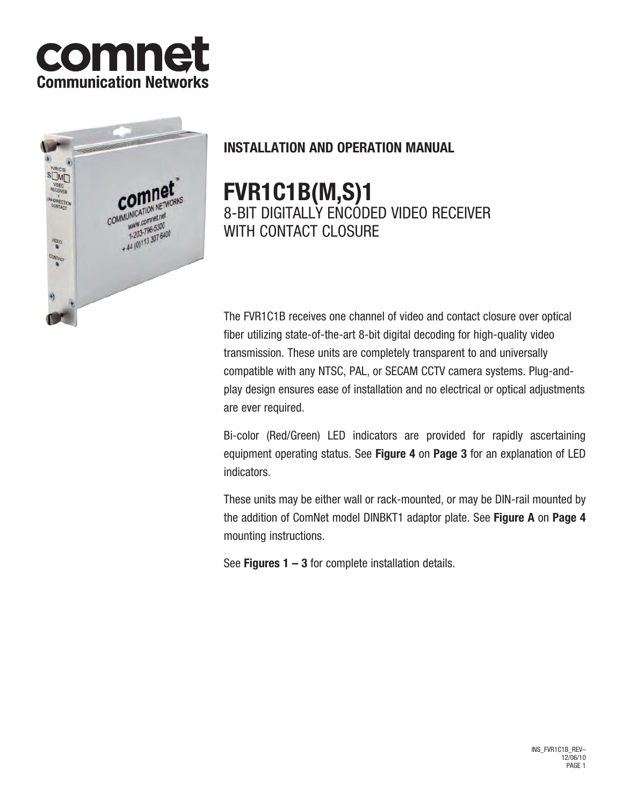



# **INSTALLATION AND OPERATION MANUAL**

# **FVR1C1B(M,S)1** 8-bit digitalLY ENCODED video receiver WITH CONTACT CLOSURE

The FVR1C1B receives one channel of video and contact closure over optical fiber utilizing state-of-the-art 8-bit digital decoding for high-quality video transmission. These units are completely transparent to and universally compatible with any NTSC, PAL, or SECAM CCTV camera systems. Plug-andplay design ensures ease of installation and no electrical or optical adjustments are ever required.

Bi-color (Red/Green) LED indicators are provided for rapidly ascertaining equipment operating status. See **Figure 4** on **Page 3** for an explanation of LED indicators.

These units may be either wall or rack-mounted, or may be DIN-rail mounted by the addition of ComNet model DINBKT1 adaptor plate. See **Figure A** on **Page 4**  mounting instructions.

See **Figures 1 – 3** for complete installation details.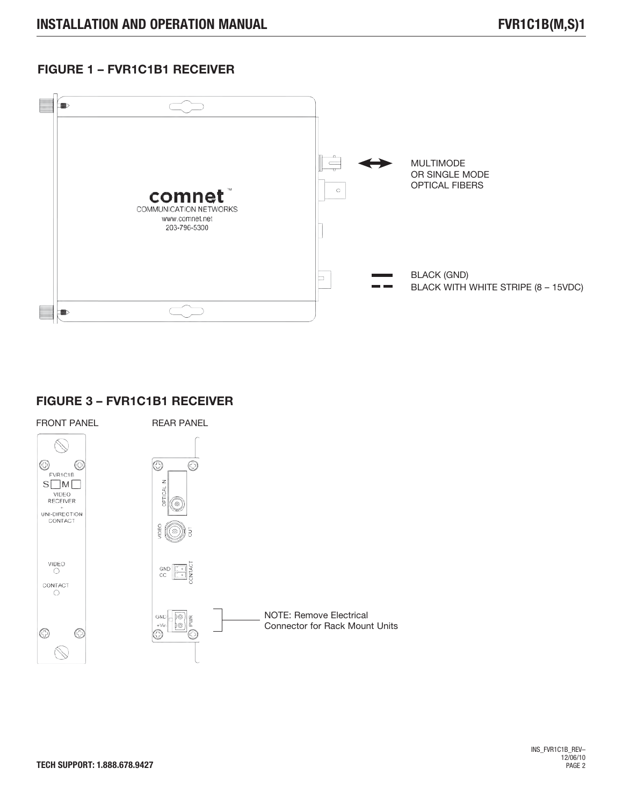### **FIGURE 1 – FVR1C1B1 RECEIVER**



### **FIGURE 3 – FVR1C1B1 RECEIVER**



**Tec h Support : 1.888.678.9427**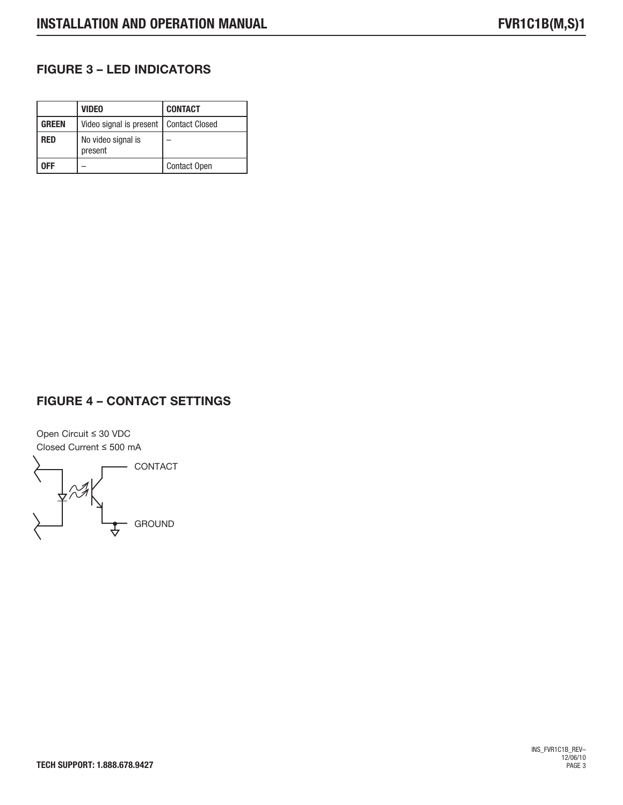# **FIGURE 3 – LED INDICATORS**

|              | <b>VIDEO</b>                             | <b>CONTACT</b>      |
|--------------|------------------------------------------|---------------------|
| <b>GREEN</b> | Video signal is present   Contact Closed |                     |
| <b>RED</b>   | No video signal is<br>present            |                     |
| IEE          |                                          | <b>Contact Open</b> |

## **FIGURE 4 – CONTACT SETTINGS**

Open Circuit ≤ 30 VDC Closed Current ≤ 500 mA